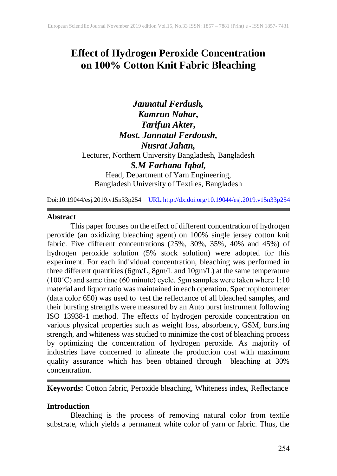# **Effect of Hydrogen Peroxide Concentration on 100% Cotton Knit Fabric Bleaching**

*Jannatul Ferdush, Kamrun Nahar, Tarifun Akter, Most. Jannatul Ferdoush, Nusrat Jahan,* Lecturer, Northern University Bangladesh, Bangladesh *S.M Farhana Iqbal,* Head, Department of Yarn Engineering, Bangladesh University of Textiles, Bangladesh

Doi:10.19044/esj.2019.v15n33p254 [URL:http://dx.doi.org/10.19044/esj.2019.v15n33p2](http://dx.doi.org/10.19044/esj.2019.v15n33p3)54

#### **Abstract**

This paper focuses on the effect of different concentration of hydrogen peroxide (an oxidizing bleaching agent) on 100% single jersey cotton knit fabric. Five different concentrations (25%, 30%, 35%, 40% and 45%) of hydrogen peroxide solution (5% stock solution) were adopted for this experiment. For each individual concentration, bleaching was performed in three different quantities (6gm/L, 8gm/L and 10gm/L) at the same temperature  $(100°C)$  and same time (60 minute) cycle. 5gm samples were taken where 1:10 material and liquor ratio was maintained in each operation. Spectrophotometer (data color 650) was used to test the reflectance of all bleached samples, and their bursting strengths were measured by an Auto burst instrument following ISO 13938-1 method. The effects of hydrogen peroxide concentration on various physical properties such as weight loss, absorbency, GSM, bursting strength, and whiteness was studied to minimize the cost of bleaching process by optimizing the concentration of hydrogen peroxide. As majority of industries have concerned to alineate the production cost with maximum quality assurance which has been obtained through bleaching at 30% concentration.

**Keywords:** Cotton fabric, Peroxide bleaching, Whiteness index, Reflectance

#### **Introduction**

Bleaching is the process of removing natural color from textile substrate, which yields a permanent white color of yarn or fabric. Thus, the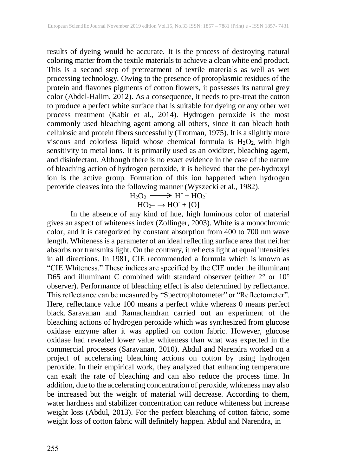results of dyeing would be accurate. It is the process of destroying natural coloring matter from the textile materials to achieve a clean white end product. This is a second step of pretreatment of textile materials as well as wet processing technology. Owing to the presence of protoplasmic residues of the protein and flavones pigments of cotton flowers, it possesses its natural grey color (Abdel-Halim, 2012). As a consequence, it needs to pre-treat the cotton to produce a perfect white surface that is suitable for dyeing or any other wet process treatment (Kabir et al., 2014). Hydrogen peroxide is the most commonly used bleaching agent among all others, since it can bleach both cellulosic and protein fibers successfully (Trotman, 1975). It is a slightly more viscous and colorless liquid whose chemical formula is  $H_2O_2$ , with high sensitivity to metal ions. It is primarily used as an oxidizer, bleaching agent, and disinfectant. Although there is no exact evidence in the case of the nature of bleaching action of hydrogen peroxide, it is believed that the per-hydroxyl ion is the active group. Formation of this ion happened when hydrogen peroxide cleaves into the following manner (Wyszecki et al., 1982).

$$
H_2O_2 \longrightarrow H^+ + HO_2^-
$$
  

$$
HO_{2-} \rightarrow HO^- + [O]
$$

In the absence of any kind of hue, high luminous color of material gives an aspect of whiteness index (Zollinger, 2003). White is a monochromic color, and it is categorized by constant absorption from 400 to 700 nm wave length. Whiteness is a parameter of an ideal reflecting surface area that neither absorbs nor transmits light. On the contrary, it reflects light at equal intensities in all directions. In 1981, CIE recommended a formula which is known as "CIE Whiteness." These indices are specified by the CIE under the illuminant D65 and illuminant C combined with standard observer (either 2° or 10° observer). Performance of bleaching effect is also determined by reflectance. This reflectance can be measured by ["Spectrophotometer"](http://fashion2apparel.blogspot.com/2017/04/datacolor-color-matching-system.html) or "Reflectometer". Here, reflectance value 100 means a perfect white whereas 0 means perfect black. Saravanan and Ramachandran carried out an experiment of the bleaching actions of hydrogen peroxide which was synthesized from glucose oxidase enzyme after it was applied on cotton fabric. However, glucose oxidase had revealed lower value whiteness than what was expected in the commercial processes (Saravanan, 2010). Abdul and Narendra worked on a project of accelerating bleaching actions on cotton by using hydrogen peroxide. In their empirical work, they analyzed that enhancing temperature can exalt the rate of bleaching and can also reduce the process time. In addition, due to the accelerating concentration of peroxide, whiteness may also be increased but the weight of material will decrease. According to them, water hardness and stabilizer concentration can reduce whiteness but increase weight loss (Abdul, 2013). For the perfect bleaching of cotton fabric, some weight loss of cotton fabric will definitely happen. Abdul and Narendra, in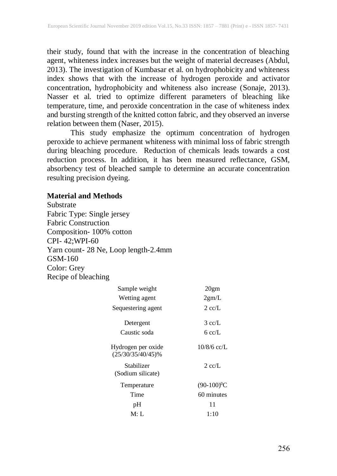their study, found that with the increase in the concentration of bleaching agent, whiteness index increases but the weight of material decreases (Abdul, 2013). The investigation of Kumbasar et al. on hydrophobicity and whiteness index shows that with the increase of hydrogen peroxide and activator concentration, hydrophobicity and whiteness also increase (Sonaje, 2013). Nasser et al. tried to optimize different parameters of bleaching like temperature, time, and peroxide concentration in the case of whiteness index and bursting strength of the knitted cotton fabric, and they observed an inverse relation between them (Naser, 2015).

This study emphasize the optimum concentration of hydrogen peroxide to achieve permanent whiteness with minimal loss of fabric strength during bleaching procedure. Reduction of chemicals leads towards a cost reduction process. In addition, it has been measured reflectance, GSM, absorbency test of bleached sample to determine an accurate concentration resulting precision dyeing.

#### **Material and Methods**

Substrate Fabric Type: Single jersey Fabric Construction Composition- 100% cotton CPI- 42;WPI-60 Yarn count- 28 Ne, Loop length-2.4mm GSM-160 Color: Grey Recipe of bleaching

| Sample weight                              | 20gm             |
|--------------------------------------------|------------------|
| Wetting agent                              | 2gm/L            |
| Sequestering agent                         | $2 \text{ cc/L}$ |
| Detergent                                  | $3 \text{ cc/L}$ |
| Caustic soda                               | 6 cc/L           |
| Hydrogen per oxide<br>$(25/30/35/40/45)\%$ | $10/8/6$ cc/L    |
| Stabilizer<br>(Sodium silicate)            | $2 \text{ cc/L}$ |
| Temperature                                | $(90-100)^{0}C$  |
| Time                                       | 60 minutes       |
| pH                                         | 11               |
| M: L                                       | 1:10             |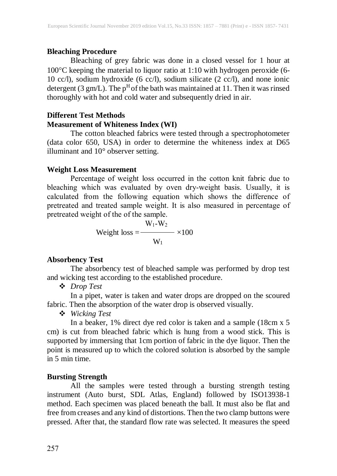# **Bleaching Procedure**

Bleaching of grey fabric was done in a closed vessel for 1 hour at 100C keeping the material to liquor ratio at 1:10 with hydrogen peroxide (6- 10 cc/l), sodium hydroxide (6 cc/l), sodium silicate (2 cc/l), and none ionic detergent (3 gm/L). The  $p^H$  of the bath was maintained at 11. Then it was rinsed thoroughly with hot and cold water and subsequently dried in air.

# **Different Test Methods Measurement of Whiteness Index (WI)**

The cotton bleached fabrics were tested through a spectrophotometer (data color 650, USA) in order to determine the whiteness index at D65 illuminant and 10° observer setting.

# **Weight Loss Measurement**

Percentage of weight loss occurred in the cotton knit fabric due to bleaching which was evaluated by oven dry-weight basis. Usually, it is calculated from the following equation which shows the difference of pretreated and treated sample weight. It is also measured in percentage of pretreated weight of the of the sample.

Weight loss = 
$$
\frac{W_1-W_2}{W_1} \times 100
$$

# **Absorbency Test**

The absorbency test of bleached sample was performed by drop test and wicking test according to the established procedure.

*Drop Test*

In a pipet, water is taken and water drops are dropped on the scoured fabric. Then the absorption of the water drop is observed visually.

*Wicking Test*

In a beaker, 1% direct dye red color is taken and a sample (18cm x 5 cm) is cut from bleached fabric which is hung from a wood stick. This is supported by immersing that 1cm portion of fabric in the dye liquor. Then the point is measured up to which the colored solution is absorbed by the sample in 5 min time.

# **Bursting Strength**

All the samples were tested through a bursting strength testing instrument (Auto burst, SDL Atlas, England) followed by ISO13938-1 method. Each specimen was placed beneath the ball. It must also be flat and free from creases and any kind of distortions. Then the two clamp buttons were pressed. After that, the standard flow rate was selected. It measures the speed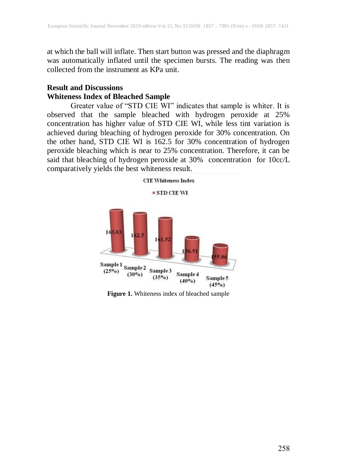at which the ball will inflate. Then start button was pressed and the diaphragm was automatically inflated until the specimen bursts. The reading was then collected from the instrument as KPa unit.

# **Result and Discussions Whiteness Index of Bleached Sample**

Greater value of "STD CIE WI" indicates that sample is whiter. It is observed that the sample bleached with hydrogen peroxide at 25% concentration has higher value of STD CIE WI, while less tint variation is achieved during bleaching of hydrogen peroxide for 30% concentration. On the other hand, STD CIE WI is 162.5 for 30% concentration of hydrogen peroxide bleaching which is near to 25% concentration. Therefore, it can be said that bleaching of hydrogen peroxide at 30% concentration for 10cc/L comparatively yields the best whiteness result.



**Figure 1.** Whiteness index of bleached sample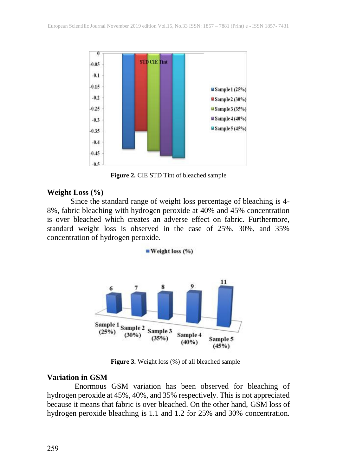

**Figure 2.** CIE STD Tint of bleached sample

#### **Weight Loss (%)**

Since the standard range of weight loss percentage of bleaching is 4- 8%, fabric bleaching with hydrogen peroxide at 40% and 45% concentration is over bleached which creates an adverse effect on fabric. Furthermore, standard weight loss is observed in the case of 25%, 30%, and 35% concentration of hydrogen peroxide.



**Figure 3.** Weight loss (%) of all bleached sample

#### **Variation in GSM**

Enormous GSM variation has been observed for bleaching of hydrogen peroxide at 45%, 40%, and 35% respectively. This is not appreciated because it means that fabric is over bleached. On the other hand, GSM loss of hydrogen peroxide bleaching is 1.1 and 1.2 for 25% and 30% concentration.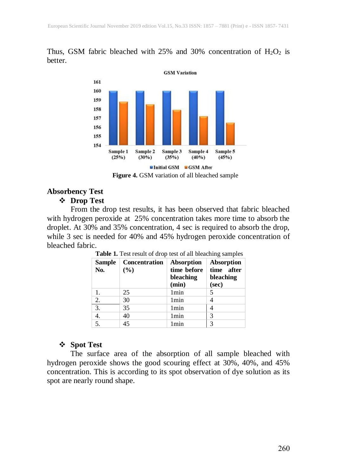# Thus, GSM fabric bleached with 25% and 30% concentration of  $H_2O_2$  is better.



**Figure 4.** GSM variation of all bleached sample

# **Absorbency Test**

# **Drop Test**

From the drop test results, it has been observed that fabric bleached with hydrogen peroxide at 25% concentration takes more time to absorb the droplet. At 30% and 35% concentration, 4 sec is required to absorb the drop, while 3 sec is needed for 40% and 45% hydrogen peroxide concentration of bleached fabric.

| <b>Sample</b><br>No. | <b>Concentration</b><br>(%) | <b>Absorption</b><br>time before<br>bleaching<br>(min) | Absorption<br>time after<br>bleaching<br>(sec) |
|----------------------|-----------------------------|--------------------------------------------------------|------------------------------------------------|
|                      | 25                          | 1 <sub>min</sub>                                       |                                                |
| 2.                   | 30                          | 1 <sub>min</sub>                                       | 4                                              |
| $\overline{3}$ .     | 35                          | 1 <sub>min</sub>                                       | 4                                              |
| 4.                   | 40                          | 1 <sub>min</sub>                                       | 3                                              |
| 5.                   | 45                          | 1 min                                                  | 3                                              |

**Table 1.** Test result of drop test of all bleaching samples

# **Spot Test**

The surface area of the absorption of all sample bleached with hydrogen peroxide shows the good scouring effect at 30%, 40%, and 45% concentration. This is according to its spot observation of dye solution as its spot are nearly round shape.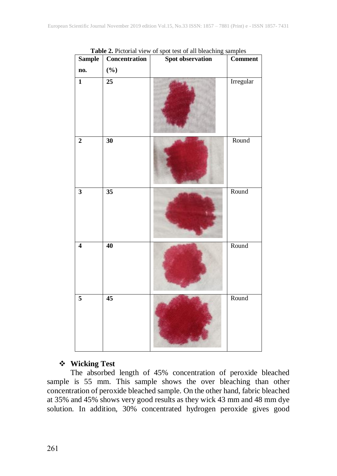| <b>Sample</b>           | Concentration   | <b>Spot observation</b> | <b>Comment</b> |
|-------------------------|-----------------|-------------------------|----------------|
| no.                     | $(\%)$          |                         |                |
| $\overline{\mathbf{1}}$ | 25              |                         | Irregular      |
| $\overline{2}$          | 30              |                         | Round          |
| $\overline{\mathbf{3}}$ | $\overline{35}$ |                         | Round          |
| $\overline{4}$          | 40              |                         | Round          |
| $\overline{\mathbf{5}}$ | $\overline{45}$ |                         | Round          |

**Table 2.** Pictorial view of spot test of all bleaching samples

#### **Wicking Test**

The absorbed length of 45% concentration of peroxide bleached sample is 55 mm. This sample shows the over bleaching than other concentration of peroxide bleached sample. On the other hand, fabric bleached at 35% and 45% shows very good results as they wick 43 mm and 48 mm dye solution. In addition, 30% concentrated hydrogen peroxide gives good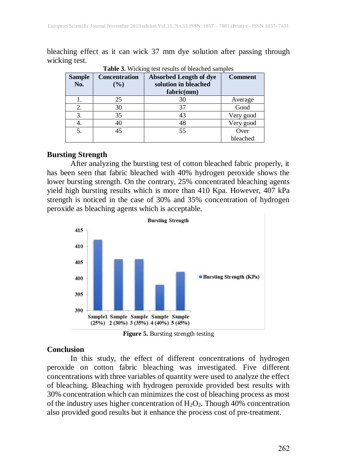bleaching effect as it can wick 37 mm dye solution after passing through wicking test.

| <b>Sample</b><br>No. | Concentration<br>$($ %) | <b>Absorbed Length of dye</b><br>solution in bleached<br>fabric(mm) | <b>Comment</b> |
|----------------------|-------------------------|---------------------------------------------------------------------|----------------|
|                      | 25                      | 30                                                                  | Average        |
| 2.                   | 30                      | 37                                                                  | Good           |
| 3.                   | 35                      | 43                                                                  | Very good      |
|                      | 40                      | 48                                                                  | Very good      |
| 5.                   | 45                      | 55                                                                  | Over           |
|                      |                         |                                                                     | bleached       |

**Table 3.** Wicking test results of bleached samples

# **Bursting Strength**

After analyzing the bursting test of cotton bleached fabric properly, it has been seen that fabric bleached with 40% hydrogen peroxide shows the lower bursting strength. On the contrary, 25% concentrated bleaching agents yield high bursting results which is more than 410 Kpa. However, 407 kPa strength is noticed in the case of 30% and 35% concentration of hydrogen peroxide as bleaching agents which is acceptable.



**Figure 5.** Bursting strength testing

# **Conclusion**

In this study, the effect of different concentrations of hydrogen peroxide on cotton fabric bleaching was investigated. Five different concentrations with three variables of quantity were used to analyze the effect of bleaching. Bleaching with hydrogen peroxide provided best results with 30% concentration which can minimizes the cost of bleaching process as most of the industry uses higher concentration of  $H_2O_2$ . Though 40% concentration also provided good results but it enhance the process cost of pre-treatment.